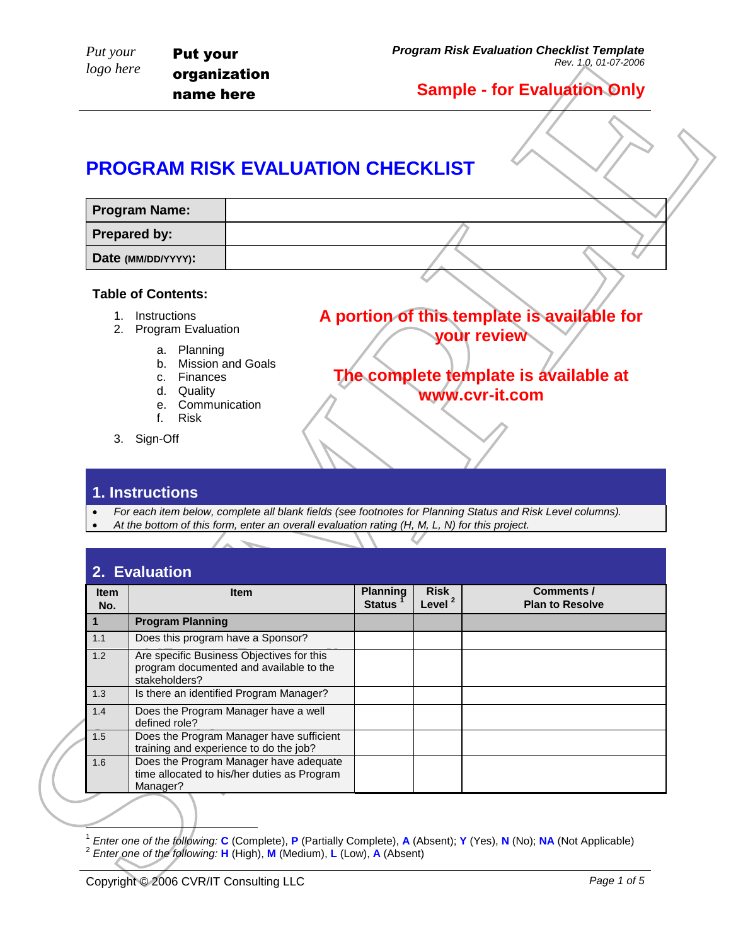## **PROGRAM RISK EVALUATION CHECKLIST**

| <b>Program Name:</b> |  |  |
|----------------------|--|--|
| <b>Prepared by:</b>  |  |  |
| Date (MM/DD/YYYY):   |  |  |

#### **Table of Contents:**

- 1. Instructions
- 2. Program Evaluation
	- a. Planning
		- b. Mission and Goals
		- c. Finances
		- d. Quality
		- e. Communication
		-
		- f. Risk
- 3. Sign-Off

#### **1. Instructions**

- *For each item below, complete all blank fields (see footnotes for Planning Status and Risk Level columns).*
- *At the bottom of this form, enter an overall evaluation rating (H, M, L, N) for this project.*

|                        | <b>Program Name:</b>                                                                                          |                                                                                                                                                                                                             |                                  |                                   |                                                            |  |
|------------------------|---------------------------------------------------------------------------------------------------------------|-------------------------------------------------------------------------------------------------------------------------------------------------------------------------------------------------------------|----------------------------------|-----------------------------------|------------------------------------------------------------|--|
|                        | Prepared by:                                                                                                  |                                                                                                                                                                                                             |                                  |                                   |                                                            |  |
|                        | Date (MM/DD/YYYY):                                                                                            |                                                                                                                                                                                                             |                                  |                                   |                                                            |  |
|                        | <b>Table of Contents:</b>                                                                                     |                                                                                                                                                                                                             |                                  |                                   |                                                            |  |
|                        | 1. Instructions<br>2. Program Evaluation                                                                      |                                                                                                                                                                                                             |                                  |                                   | A portion of this template is available for<br>your review |  |
|                        | <b>Mission and Goals</b><br>b.<br>Finances<br>C.<br>Quality<br>d.<br>Communication<br>e.<br><b>Risk</b><br>f. |                                                                                                                                                                                                             |                                  |                                   | The complete template is available at<br>www.cvr-it.com    |  |
|                        | 3. Sign-Off<br>1. Instructions                                                                                |                                                                                                                                                                                                             |                                  |                                   |                                                            |  |
| $\bullet$<br>$\bullet$ |                                                                                                               | For each item below, complete all blank fields (see footnotes for Planning Status and Risk Level columns).<br>At the bottom of this form, enter an overall evaluation rating (H, M, L, N) for this project. |                                  |                                   |                                                            |  |
| Item<br>No.            | 2. Evaluation                                                                                                 | Item                                                                                                                                                                                                        | <b>Planning</b><br><b>Status</b> | <b>Risk</b><br>Level <sup>2</sup> | <b>Comments /</b><br><b>Plan to Resolve</b>                |  |
| $\mathbf{1}$           | <b>Program Planning</b>                                                                                       |                                                                                                                                                                                                             |                                  |                                   |                                                            |  |
| 1.1                    | Does this program have a Sponsor?                                                                             |                                                                                                                                                                                                             |                                  |                                   |                                                            |  |
| 1.2                    | stakeholders?                                                                                                 | Are specific Business Objectives for this<br>program documented and available to the                                                                                                                        |                                  |                                   |                                                            |  |
| 1.3                    |                                                                                                               | Is there an identified Program Manager?                                                                                                                                                                     |                                  |                                   |                                                            |  |
| 1.4                    | Does the Program Manager have a well                                                                          |                                                                                                                                                                                                             |                                  |                                   |                                                            |  |
| 1.5                    | defined role?<br>training and experience to do the job?                                                       | Does the Program Manager have sufficient                                                                                                                                                                    |                                  |                                   |                                                            |  |

<sup>1</sup> *Enter one of the following:* **C** (Complete), **P** (Partially Complete), **A** (Absent); **Y** (Yes), **N** (No); **NA** (Not Applicable) 2 *Enter one of the following:* **H** (High), **M** (Medium), **L** (Low), **A** (Absent)